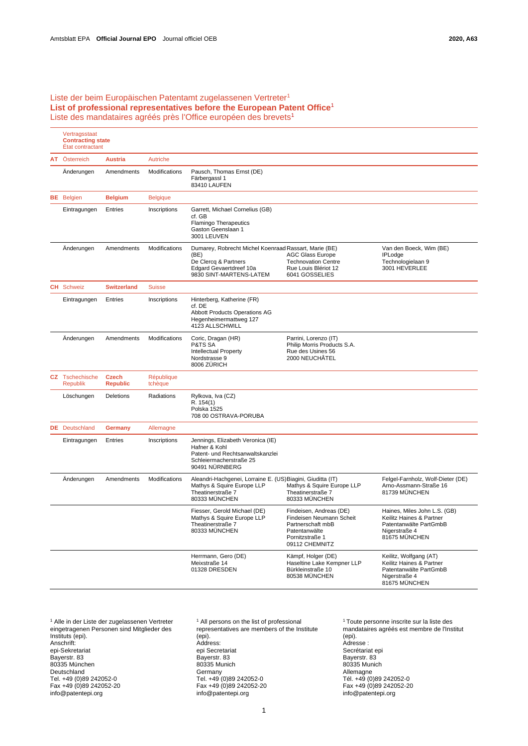## <span id="page-0-0"></span>Liste der beim Europäischen Patentamt zugelassenen Vertreter<sup>1</sup> **List of professional representatives before the European Patent Offic[e](#page-0-0)**<sup>1</sup> Li[s](#page-0-0)te des mandataires agréés près l'Office européen des brevets<sup>1</sup>

|  | Vertragsstaat<br><b>Contracting state</b><br>État contractant |                                 |                       |                                                                                                                                             |                                                                                                                                |                                                                                                                      |
|--|---------------------------------------------------------------|---------------------------------|-----------------------|---------------------------------------------------------------------------------------------------------------------------------------------|--------------------------------------------------------------------------------------------------------------------------------|----------------------------------------------------------------------------------------------------------------------|
|  | AT Österreich                                                 | <b>Austria</b>                  | <b>Autriche</b>       |                                                                                                                                             |                                                                                                                                |                                                                                                                      |
|  | Änderungen                                                    | Amendments                      | Modifications         | Pausch, Thomas Ernst (DE)<br>Färbergassl 1<br>83410 LAUFEN                                                                                  |                                                                                                                                |                                                                                                                      |
|  | <b>BE</b> Belgien                                             | <b>Belgium</b>                  | <b>Belgique</b>       |                                                                                                                                             |                                                                                                                                |                                                                                                                      |
|  | Eintragungen                                                  | Entries                         | Inscriptions          | Garrett, Michael Cornelius (GB)<br>cf. GB<br><b>Flamingo Therapeutics</b><br>Gaston Geenslaan 1<br>3001 LEUVEN                              |                                                                                                                                |                                                                                                                      |
|  | Änderungen                                                    | Amendments                      | Modifications         | Dumarey, Robrecht Michel Koenraad Rassart, Marie (BE)<br>(BE)<br>De Clercq & Partners<br>Edgard Gevaertdreef 10a<br>9830 SINT-MARTENS-LATEM | <b>AGC Glass Europe</b><br><b>Technovation Centre</b><br>Rue Louis Blériot 12<br>6041 GOSSELIES                                | Van den Boeck, Wim (BE)<br><b>IPLodge</b><br>Technologielaan 9<br>3001 HEVERLEE                                      |
|  | <b>CH</b> Schweiz                                             | <b>Switzerland</b>              | <b>Suisse</b>         |                                                                                                                                             |                                                                                                                                |                                                                                                                      |
|  | Eintragungen                                                  | Entries                         | Inscriptions          | Hinterberg, Katherine (FR)<br>cf. DE<br><b>Abbott Products Operations AG</b><br>Hegenheimermattweg 127<br>4123 ALLSCHWILL                   |                                                                                                                                |                                                                                                                      |
|  | Änderungen                                                    | Amendments                      | Modifications         | Coric, Dragan (HR)<br>P&TS SA<br><b>Intellectual Property</b><br>Nordstrasse 9<br>8006 ZÜRICH                                               | Parrini, Lorenzo (IT)<br>Philip Morris Products S.A.<br>Rue des Usines 56<br>2000 NEUCHÂTEL                                    |                                                                                                                      |
|  | CZ Tschechische<br><b>Republik</b>                            | <b>Czech</b><br><b>Republic</b> | République<br>tchèque |                                                                                                                                             |                                                                                                                                |                                                                                                                      |
|  | Löschungen                                                    | Deletions                       | Radiations            | Rylkova, Iva (CZ)<br>R. 154(1)<br>Polska 1525<br>708 00 OSTRAVA-PORUBA                                                                      |                                                                                                                                |                                                                                                                      |
|  | <b>DE</b> Deutschland                                         | Germany                         | Allemagne             |                                                                                                                                             |                                                                                                                                |                                                                                                                      |
|  | Eintragungen                                                  | Entries                         | Inscriptions          | Jennings, Elizabeth Veronica (IE)<br>Hafner & Kohl<br>Patent- und Rechtsanwaltskanzlei<br>Schleiermacherstraße 25<br>90491 NÜRNBERG         |                                                                                                                                |                                                                                                                      |
|  | Änderungen                                                    | Amendments                      | Modifications         | Aleandri-Hachgenei, Lorraine E. (US)Biagini, Giuditta (IT)<br>Mathys & Squire Europe LLP<br>Theatinerstraße 7<br>80333 MÜNCHEN              | Mathys & Squire Europe LLP<br>Theatinerstraße 7<br>80333 MÜNCHEN                                                               | Felgel-Farnholz, Wolf-Dieter (DE)<br>Arno-Assmann-Straße 16<br>81739 MÜNCHEN                                         |
|  |                                                               |                                 |                       | Fiesser, Gerold Michael (DE)<br>Mathys & Squire Europe LLP<br>Theatinerstraße 7<br>80333 MÜNCHEN                                            | Findeisen, Andreas (DE)<br>Findeisen Neumann Scheit<br>Partnerschaft mbB<br>Patentanwälte<br>Pornitzstraße 1<br>09112 CHEMNITZ | Haines, Miles John L.S. (GB)<br>Keilitz Haines & Partner<br>Patentanwälte PartGmbB<br>Nigerstraße 4<br>81675 MÜNCHEN |
|  |                                                               |                                 |                       | Herrmann, Gero (DE)<br>Meixstraße 14<br>01328 DRESDEN                                                                                       | Kämpf, Holger (DE)<br>Haseltine Lake Kempner LLP<br>Bürkleinstraße 10<br>80538 MÜNCHEN                                         | Keilitz, Wolfgang (AT)<br>Keilitz Haines & Partner<br>Patentanwälte PartGmbB<br>Nigerstraße 4<br>81675 MÜNCHEN       |

<sup>1</sup> Alle in der Liste der zugelassenen Vertreter eingetragenen Personen sind Mitglieder des Instituts (epi). Anschrift: epi-Sekretariat Bayerstr. 83 80335 München Deutschland Tel. +49 (0)89 242052-0 Fax +49 (0)89 242052-20 [info@patentepi.org](mailto:info@patentepi.org)

<sup>[1](#page-0-0)</sup> All persons on the list of professional representatives are members of the Institute (epi). Address: epi Secretariat Bayerstr. 83 80335 Munich **Germany** Tel. +49 (0)89 242052-0 Fax +49 (0)89 242052-20 [info@patentepi.org](mailto:info@patentepi.org)

[1](#page-0-0) Toute personne inscrite sur la liste des mandataires agréés est membre de l'Institut (epi). Adresse : Secrétariat epi Bayerstr. 83 80335 Munich Allemagne Tél. +49 (0)89 242052-0 Fax +49 (0)89 242052-20 [info@patentepi.org](mailto:info@patentepi.org)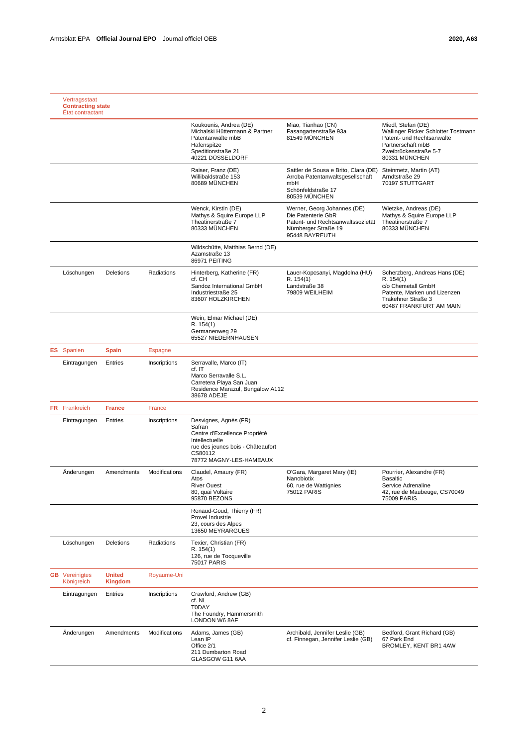| Vertragsstaat<br><b>Contracting state</b><br>État contractant |                                 |               |                                                                                                                                                               |                                                                                                                                  |                                                                                                                                                       |
|---------------------------------------------------------------|---------------------------------|---------------|---------------------------------------------------------------------------------------------------------------------------------------------------------------|----------------------------------------------------------------------------------------------------------------------------------|-------------------------------------------------------------------------------------------------------------------------------------------------------|
|                                                               |                                 |               | Koukounis, Andrea (DE)<br>Michalski Hüttermann & Partner<br>Patentanwälte mbB<br>Hafenspitze<br>Speditionstraße 21<br>40221 DÜSSELDORF                        | Miao, Tianhao (CN)<br>Fasangartenstraße 93a<br>81549 MÜNCHEN                                                                     | Miedl, Stefan (DE)<br>Wallinger Ricker Schlotter Tostmann<br>Patent- und Rechtsanwälte<br>Partnerschaft mbB<br>Zweibrückenstraße 5-7<br>80331 MÜNCHEN |
|                                                               |                                 |               | Raiser, Franz (DE)<br>Willibaldstraße 153<br>80689 MÜNCHEN                                                                                                    | Sattler de Sousa e Brito, Clara (DE)<br>Arroba Patentanwaltsgesellschaft<br>mbH<br>Schönfeldstraße 17<br>80539 MÜNCHEN           | Steinmetz, Martin (AT)<br>Arndtstraße 29<br>70197 STUTTGART                                                                                           |
|                                                               |                                 |               | Wenck, Kirstin (DE)<br>Mathys & Squire Europe LLP<br>Theatinerstraße 7<br>80333 MÜNCHEN                                                                       | Werner, Georg Johannes (DE)<br>Die Patenterie GbR<br>Patent- und Rechtsanwaltssozietät<br>Nürnberger Straße 19<br>95448 BAYREUTH | Wietzke, Andreas (DE)<br>Mathys & Squire Europe LLP<br>Theatinerstraße 7<br>80333 MÜNCHEN                                                             |
|                                                               |                                 |               | Wildschütte, Matthias Bernd (DE)<br>Azamstraße 13<br>86971 PEITING                                                                                            |                                                                                                                                  |                                                                                                                                                       |
| Löschungen                                                    | <b>Deletions</b>                | Radiations    | Hinterberg, Katherine (FR)<br>cf. CH<br>Sandoz International GmbH<br>Industriestraße 25<br>83607 HOLZKIRCHEN                                                  | Lauer-Kopcsanyi, Magdolna (HU)<br>R. 154(1)<br>Landstraße 38<br>79809 WEILHEIM                                                   | Scherzberg, Andreas Hans (DE)<br>R. 154(1)<br>c/o Chemetall GmbH<br>Patente, Marken und Lizenzen<br>Trakehner Straße 3<br>60487 FRANKFURT AM MAIN     |
|                                                               |                                 |               | Wein, Elmar Michael (DE)<br>R. 154(1)<br>Germanenweg 29<br>65527 NIEDERNHAUSEN                                                                                |                                                                                                                                  |                                                                                                                                                       |
| <b>ES</b> Spanien                                             | <b>Spain</b>                    | Espagne       |                                                                                                                                                               |                                                                                                                                  |                                                                                                                                                       |
| Eintragungen                                                  | Entries                         | Inscriptions  | Serravalle, Marco (IT)<br>cf. IT<br>Marco Serravalle S.L.<br>Carretera Playa San Juan<br>Residence Marazul, Bungalow A112<br>38678 ADEJE                      |                                                                                                                                  |                                                                                                                                                       |
| <b>FR</b> Frankreich                                          | <b>France</b>                   | France        |                                                                                                                                                               |                                                                                                                                  |                                                                                                                                                       |
| Eintragungen                                                  | Entries                         | Inscriptions  | Desvignes, Agnès (FR)<br>Safran<br>Centre d'Excellence Propriété<br>Intellectuelle<br>rue des jeunes bois - Châteaufort<br>CS80112<br>78772 MAGNY-LES-HAMEAUX |                                                                                                                                  |                                                                                                                                                       |
| Änderungen                                                    | Amendments                      | Modifications | Claudel, Amaury (FR)<br>Atos<br><b>River Ouest</b><br>80, quai Voltaire<br>95870 BEZONS                                                                       | O'Gara, Margaret Mary (IE)<br>Nanobiotix<br>60, rue de Wattignies<br>75012 PARIS                                                 | Pourrier, Alexandre (FR)<br><b>Basaltic</b><br>Service Adrenaline<br>42, rue de Maubeuge, CS70049<br>75009 PARIS                                      |
|                                                               |                                 |               | Renaud-Goud, Thierry (FR)<br>Provel Industrie<br>23, cours des Alpes<br>13650 MEYRARGUES                                                                      |                                                                                                                                  |                                                                                                                                                       |
| Löschungen                                                    | Deletions                       | Radiations    | Texier, Christian (FR)<br>R. 154(1)<br>126, rue de Tocqueville<br><b>75017 PARIS</b>                                                                          |                                                                                                                                  |                                                                                                                                                       |
| <b>GB</b> Vereinigtes<br>Königreich                           | <b>United</b><br><b>Kingdom</b> | Royaume-Uni   |                                                                                                                                                               |                                                                                                                                  |                                                                                                                                                       |
| Eintragungen                                                  | Entries                         | Inscriptions  | Crawford, Andrew (GB)<br>cf. NL<br><b>T0DAY</b><br>The Foundry, Hammersmith<br>LONDON W6 8AF                                                                  |                                                                                                                                  |                                                                                                                                                       |
| Änderungen                                                    | Amendments                      | Modifications | Adams, James (GB)<br>Lean IP<br>Office 2/1<br>211 Dumbarton Road<br>GLASGOW G11 6AA                                                                           | Archibald, Jennifer Leslie (GB)<br>cf. Finnegan, Jennifer Leslie (GB)                                                            | Bedford, Grant Richard (GB)<br>67 Park End<br>BROMLEY, KENT BR1 4AW                                                                                   |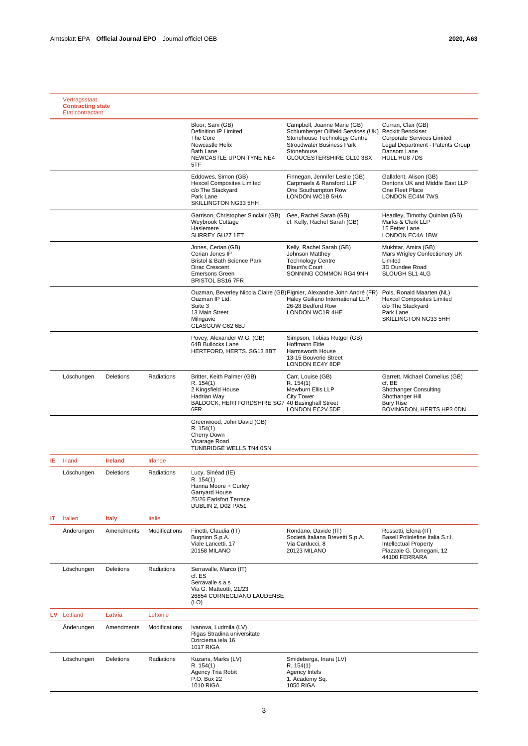|    | Vertragsstaat<br><b>Contracting state</b><br>État contractant |                |               |                                                                                                                                            |                                                                                                                                                                                                    |                                                                                                                                              |
|----|---------------------------------------------------------------|----------------|---------------|--------------------------------------------------------------------------------------------------------------------------------------------|----------------------------------------------------------------------------------------------------------------------------------------------------------------------------------------------------|----------------------------------------------------------------------------------------------------------------------------------------------|
|    |                                                               |                |               | Bloor, Sam (GB)<br>Definition IP Limited<br>The Core<br>Newcastle Helix<br><b>Bath Lane</b><br>NEWCASTLE UPON TYNE NE4<br>5TF              | Campbell, Joanne Marie (GB)<br>Schlumberger Oilfield Services (UK) Reckitt Benckiser<br>Stonehouse Technology Centre<br><b>Stroudwater Business Park</b><br>Stonehouse<br>GLOUCESTERSHIRE GL10 3SX | Curran, Clair (GB)<br>Corporate Services Limited<br>Legal Department - Patents Group<br>Dansom Lane<br>HULL HU8 7DS                          |
|    |                                                               |                |               | Eddowes, Simon (GB)<br><b>Hexcel Composites Limited</b><br>c/o The Stackvard<br>Park Lane<br>SKILLINGTON NG33 5HH                          | Finnegan, Jennifer Leslie (GB)<br>Carpmaels & Ransford LLP<br>One Southampton Row<br>LONDON WC1B 5HA                                                                                               | Gallafent, Alison (GB)<br>Dentons UK and Middle East LLP<br>One Fleet Place<br><b>LONDON EC4M 7WS</b>                                        |
|    |                                                               |                |               | Garrison, Christopher Sinclair (GB)<br>Weybrook Cottage<br>Haslemere<br>SURREY GU27 1ET                                                    | Gee, Rachel Sarah (GB)<br>cf. Kelly, Rachel Sarah (GB)                                                                                                                                             | Headley, Timothy Quinlan (GB)<br>Marks & Clerk LLP<br>15 Fetter Lane<br>LONDON EC4A 1BW                                                      |
|    |                                                               |                |               | Jones, Cerian (GB)<br>Cerian Jones IP<br>Bristol & Bath Science Park<br>Dirac Crescent<br><b>Emersons Green</b><br><b>BRISTOL BS16 7FR</b> | Kelly, Rachel Sarah (GB)<br>Johnson Matthey<br><b>Technology Centre</b><br><b>Blount's Court</b><br>SONNING COMMON RG4 9NH                                                                         | Mukhtar, Amira (GB)<br>Mars Wrigley Confectionery UK<br>Limited<br>3D Dundee Road<br>SLOUGH SL1 4LG                                          |
|    |                                                               |                |               | Ouzman IP Ltd.<br>Suite 3<br>13 Main Street<br>Milngavie<br>GLASGOW G62 6BJ                                                                | Ouzman, Beverley Nicola Claire (GB) Pignier, Alexandre John André (FR)<br>Haley Guiliano International LLP<br>26-28 Bedford Row<br>LONDON WC1R 4HE                                                 | Pols, Ronald Maarten (NL)<br><b>Hexcel Composites Limited</b><br>c/o The Stackyard<br>Park Lane<br>SKILLINGTON NG33 5HH                      |
|    |                                                               |                |               | Povey, Alexander W.G. (GB)<br>64B Bullocks Lane<br>HERTFORD, HERTS. SG13 8BT                                                               | Simpson, Tobias Rutger (GB)<br>Hoffmann Eitle<br>Harmsworth House<br>13-15 Bouverie Street<br>LONDON EC4Y 8DP                                                                                      |                                                                                                                                              |
|    | Löschungen                                                    | Deletions      | Radiations    | Britter, Keith Palmer (GB)<br>R. 154(1)<br>2 Kingsfield House<br>Hadrian Way<br>BALDOCK, HERTFORDSHIRE SG7 40 Basinghall Street<br>6FR     | Carr, Louise (GB)<br>R. 154(1)<br>Mewburn Ellis LLP<br><b>City Tower</b><br>LONDON EC2V 5DE                                                                                                        | Garrett, Michael Cornelius (GB)<br>cf. BE<br><b>Shothanger Consulting</b><br>Shothanger Hill<br><b>Bury Rise</b><br>BOVINGDON, HERTS HP3 0DN |
|    |                                                               |                |               | Greenwood, John David (GB)<br>R. 154(1)<br>Cherry Down<br>Vicarage Road<br>TUNBRIDGE WELLS TN4 0SN                                         |                                                                                                                                                                                                    |                                                                                                                                              |
| IΕ | Irland                                                        | <b>Ireland</b> | Irlande       |                                                                                                                                            |                                                                                                                                                                                                    |                                                                                                                                              |
|    | Löschungen                                                    | Deletions      | Radiations    | Lucy, Sinéad (IE)<br>R. 154(1)<br>Hanna Moore + Curley<br>Garryard House<br>25/26 Earlsfort Terrace<br>DUBLIN 2, D02 PX51                  |                                                                                                                                                                                                    |                                                                                                                                              |
| ΙT | Italien                                                       | <b>Italy</b>   | Italie        |                                                                                                                                            |                                                                                                                                                                                                    |                                                                                                                                              |
|    | Änderungen                                                    | Amendments     | Modifications | Finetti, Claudia (IT)<br>Bugnion S.p.A.<br>Viale Lancetti, 17<br><b>20158 MILANO</b>                                                       | Rondano, Davide (IT)<br>Società Italiana Brevetti S.p.A.<br>Via Carducci, 8<br>20123 MILANO                                                                                                        | Rossetti, Elena (IT)<br>Basell Poliolefine Italia S.r.I.<br><b>Intellectual Property</b><br>Piazzale G. Donegani, 12<br>44100 FERRARA        |
|    | Löschungen                                                    | Deletions      | Radiations    | Serravalle, Marco (IT)<br>cf. ES<br>Serravalle s.a.s<br>Via G. Matteotti, 21/23<br>26854 CORNEGLIANO LAUDENSE<br>(LO)                      |                                                                                                                                                                                                    |                                                                                                                                              |
|    | LV Lettland                                                   | Latvia         | Lettonie      |                                                                                                                                            |                                                                                                                                                                                                    |                                                                                                                                              |
|    | Anderungen                                                    | Amendments     | Modifications | Ivanova, Ludmila (LV)<br>Rigas Stradina universitate<br>Dzirciema iela 16<br><b>1017 RIGA</b>                                              |                                                                                                                                                                                                    |                                                                                                                                              |
|    | Löschungen                                                    | Deletions      | Radiations    | Kuzans, Marks (LV)<br>R. 154(1)<br>Agency Tria Robit<br>P.O. Box 22<br>1010 RIGA                                                           | Smideberga, Inara (LV)<br>R. 154(1)<br>Agency Intels<br>1. Academy Sq.<br><b>1050 RIGA</b>                                                                                                         |                                                                                                                                              |